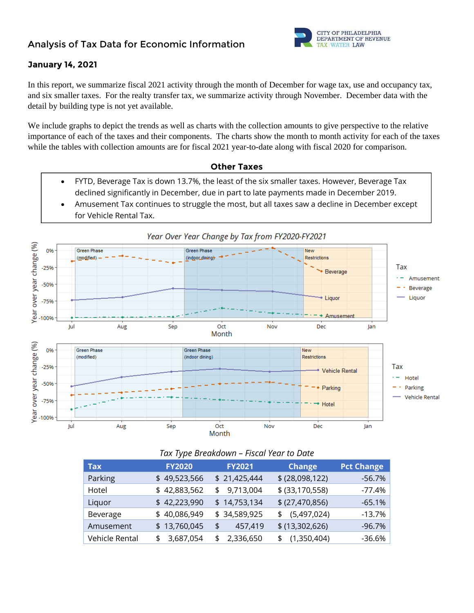

#### **January 14, 2021**

In this report, we summarize fiscal 2021 activity through the month of December for wage tax, use and occupancy tax, and six smaller taxes. For the realty transfer tax, we summarize activity through November. December data with the detail by building type is not yet available.

We include graphs to depict the trends as well as charts with the collection amounts to give perspective to the relative importance of each of the taxes and their components. The charts show the month to month activity for each of the taxes while the tables with collection amounts are for fiscal 2021 year-to-date along with fiscal 2020 for comparison.



- FYTD, Beverage Tax is down 13.7%, the least of the six smaller taxes. However, Beverage Tax declined significantly in December, due in part to late payments made in December 2019.
- Amusement Tax continues to struggle the most, but all taxes saw a decline in December except for Vehicle Rental Tax.



| Tax            | <b>FY2020</b> | <b>FY2021</b>   | <b>Change</b>     | <b>Pct Change</b> |
|----------------|---------------|-----------------|-------------------|-------------------|
| Parking        | \$49,523,566  | \$21,425,444    | \$ (28,098,122)   | $-56.7%$          |
| Hotel          | \$42,883,562  | 9,713,004<br>\$ | $$$ (33,170,558)  | $-77.4%$          |
| Liquor         | \$42,223,990  | \$14,753,134    | \$ (27,470,856)   | $-65.1%$          |
| Beverage       | \$40,086,949  | \$34,589,925    | (5,497,024)<br>\$ | $-13.7%$          |
| Amusement      | \$13,760,045  | 457,419<br>\$   | \$ (13,302,626)   | $-96.7%$          |
| Vehicle Rental | \$3,687,054   | 2,336,650<br>\$ | \$(1,350,404)     | $-36.6%$          |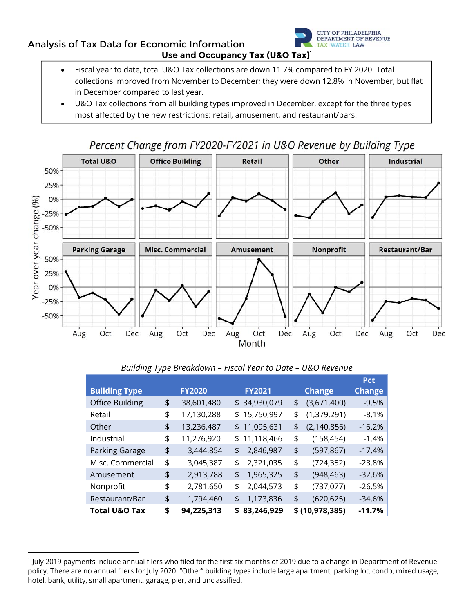

## **Analysis of Tax Data for Economic Information Use and Occupancy Tax (U&O Tax)1**

- Fiscal year to date, total U&O Tax collections are down 11.7% compared to FY 2020. Total collections improved from November to December; they were down 12.8% in November, but flat in December compared to last year.
- U&O Tax collections from all building types improved in December, except for the three types most affected by the new restrictions: retail, amusement, and restaurant/bars.



|                          |                  |                  |                     | <b>Pct</b>    |
|--------------------------|------------------|------------------|---------------------|---------------|
| <b>Building Type</b>     | <b>FY2020</b>    | <b>FY2021</b>    | <b>Change</b>       | <b>Change</b> |
| <b>Office Building</b>   | \$<br>38,601,480 | \$34,930,079     | \$<br>(3,671,400)   | $-9.5%$       |
| Retail                   | \$<br>17,130,288 | \$<br>15,750,997 | \$<br>(1, 379, 291) | $-8.1%$       |
| Other                    | \$<br>13,236,487 | \$<br>11,095,631 | \$<br>(2, 140, 856) | $-16.2%$      |
| Industrial               | \$<br>11,276,920 | \$<br>11,118,466 | \$<br>(158, 454)    | $-1.4%$       |
| Parking Garage           | \$<br>3,444,854  | \$<br>2,846,987  | \$<br>(597, 867)    | $-17.4%$      |
| Misc. Commercial         | \$<br>3,045,387  | \$<br>2,321,035  | \$<br>(724, 352)    | $-23.8%$      |
| Amusement                | \$<br>2,913,788  | \$<br>1,965,325  | \$<br>(948, 463)    | $-32.6%$      |
| Nonprofit                | \$<br>2,781,650  | \$<br>2,044,573  | \$<br>(737,077)     | $-26.5%$      |
| Restaurant/Bar           | \$<br>1,794,460  | \$<br>1,173,836  | \$<br>(620, 625)    | $-34.6%$      |
| <b>Total U&amp;O Tax</b> | \$<br>94,225,313 | \$<br>83,246,929 | \$ (10,978,385)     | $-11.7%$      |

<sup>1</sup> July 2019 payments include annual filers who filed for the first six months of 2019 due to a change in Department of Revenue policy. There are no annual filers for July 2020. "Other" building types include large apartment, parking lot, condo, mixed usage, hotel, bank, utility, small apartment, garage, pier, and unclassified.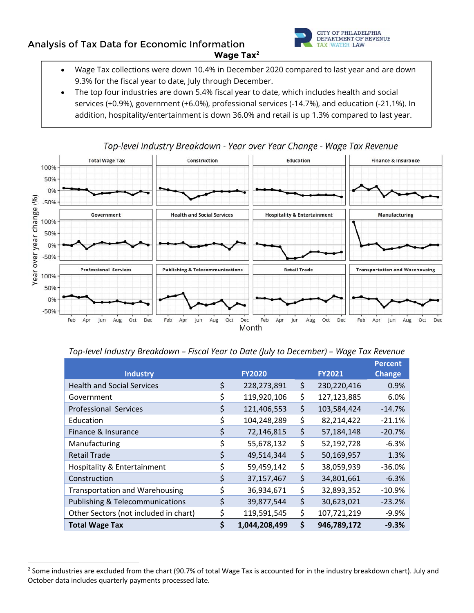### **Analysis of Tax Data for Economic Information Wage Tax2**



- Wage Tax collections were down 10.4% in December 2020 compared to last year and are down 9.3% for the fiscal year to date, July through December.
- The top four industries are down 5.4% fiscal year to date, which includes health and social services (+0.9%), government (+6.0%), professional services (-14.7%), and education (-21.1%). In addition, hospitality/entertainment is down 36.0% and retail is up 1.3% compared to last year.



#### Top-level Industry Breakdown - Year over Year Change - Wage Tax Revenue

#### *Top-level Industry Breakdown – Fiscal Year to Date (July to December) – Wage Tax Revenue*

|                                            |    |               |                   | <b>Percent</b> |
|--------------------------------------------|----|---------------|-------------------|----------------|
| <b>Industry</b>                            |    | <b>FY2020</b> | <b>FY2021</b>     | <b>Change</b>  |
| <b>Health and Social Services</b>          | \$ | 228,273,891   | \$<br>230,220,416 | 0.9%           |
| Government                                 | \$ | 119,920,106   | \$<br>127,123,885 | 6.0%           |
| <b>Professional Services</b>               | \$ | 121,406,553   | \$<br>103,584,424 | $-14.7%$       |
| Education                                  | \$ | 104,248,289   | \$<br>82,214,422  | $-21.1%$       |
| Finance & Insurance                        | \$ | 72,146,815    | \$<br>57,184,148  | $-20.7%$       |
| Manufacturing                              | \$ | 55,678,132    | \$<br>52,192,728  | $-6.3%$        |
| <b>Retail Trade</b>                        | \$ | 49,514,344    | \$<br>50,169,957  | 1.3%           |
| Hospitality & Entertainment                | \$ | 59,459,142    | \$<br>38,059,939  | $-36.0%$       |
| Construction                               | \$ | 37, 157, 467  | \$<br>34,801,661  | $-6.3%$        |
| <b>Transportation and Warehousing</b>      | \$ | 36,934,671    | \$<br>32,893,352  | $-10.9%$       |
| <b>Publishing &amp; Telecommunications</b> | \$ | 39,877,544    | \$<br>30,623,021  | $-23.2%$       |
| Other Sectors (not included in chart)      | \$ | 119,591,545   | \$<br>107,721,219 | $-9.9%$        |
| <b>Total Wage Tax</b>                      | Ś  | 1,044,208,499 | \$<br>946,789,172 | $-9.3%$        |

<sup>&</sup>lt;sup>2</sup> Some industries are excluded from the chart (90.7% of total Wage Tax is accounted for in the industry breakdown chart). July and October data includes quarterly payments processed late.